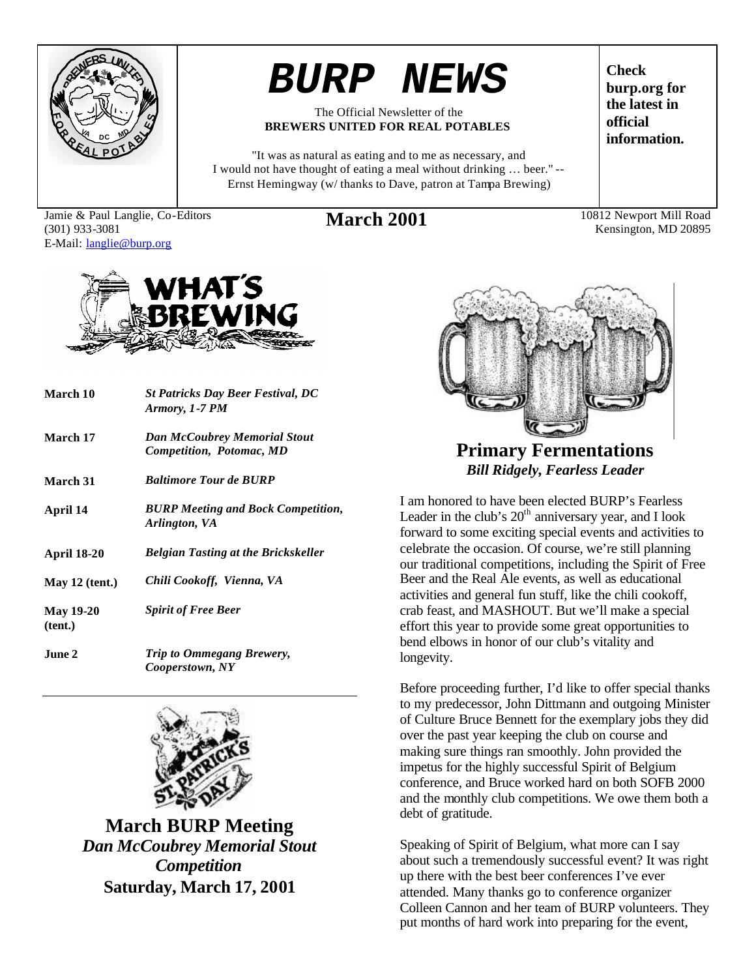

# *BURP NEWS*

#### The Official Newsletter of the **BREWERS UNITED FOR REAL POTABLES**

"It was as natural as eating and to me as necessary, and I would not have thought of eating a meal without drinking … beer." -- Ernst Hemingway (w/ thanks to Dave, patron at Tampa Brewing)

Jamie & Paul Langlie, Co-Editors (301) 933-3081 E-Mail: langlie@burp.org

**Check burp.org for the latest in official information.**

March 2001 10812 Newport Mill Road Kensington, MD 20895



| March 10                    | <b>St Patricks Day Beer Festival, DC</b><br>Armory, 1-7 PM      |
|-----------------------------|-----------------------------------------------------------------|
| March 17                    | <b>Dan McCoubrey Memorial Stout</b><br>Competition, Potomac, MD |
| March 31                    | <b>Baltimore Tour de BURP</b>                                   |
| April 14                    | <b>BURP Meeting and Bock Competition,</b><br>Arlington, VA      |
| <b>April 18-20</b>          | <b>Belgian Tasting at the Brickskeller</b>                      |
| May $12$ (tent.)            | Chili Cookoff, Vienna, VA                                       |
| <b>May 19-20</b><br>(tent.) | <b>Spirit of Free Beer</b>                                      |
| June 2.                     | Trip to Ommegang Brewery,<br>Cooperstown, NY                    |



**March BURP Meeting** *Dan McCoubrey Memorial Stout Competition* **Saturday, March 17, 2001**



**Primary Fermentations** *Bill Ridgely, Fearless Leader*

I am honored to have been elected BURP's Fearless Leader in the club's  $20<sup>th</sup>$  anniversary year, and I look forward to some exciting special events and activities to celebrate the occasion. Of course, we're still planning our traditional competitions, including the Spirit of Free Beer and the Real Ale events, as well as educational activities and general fun stuff, like the chili cookoff, crab feast, and MASHOUT. But we'll make a special effort this year to provide some great opportunities to bend elbows in honor of our club's vitality and longevity.

Before proceeding further, I'd like to offer special thanks to my predecessor, John Dittmann and outgoing Minister of Culture Bruce Bennett for the exemplary jobs they did over the past year keeping the club on course and making sure things ran smoothly. John provided the impetus for the highly successful Spirit of Belgium conference, and Bruce worked hard on both SOFB 2000 and the monthly club competitions. We owe them both a debt of gratitude.

Speaking of Spirit of Belgium, what more can I say about such a tremendously successful event? It was right up there with the best beer conferences I've ever attended. Many thanks go to conference organizer Colleen Cannon and her team of BURP volunteers. They put months of hard work into preparing for the event,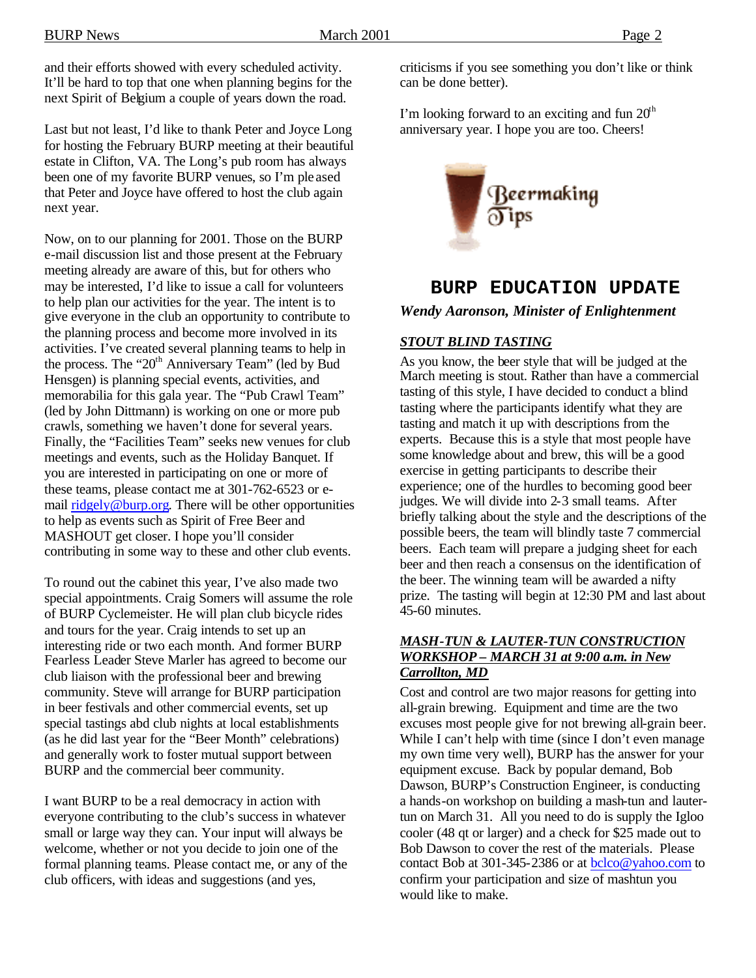and their efforts showed with every scheduled activity. It'll be hard to top that one when planning begins for the next Spirit of Belgium a couple of years down the road.

Last but not least, I'd like to thank Peter and Joyce Long for hosting the February BURP meeting at their beautiful estate in Clifton, VA. The Long's pub room has always been one of my favorite BURP venues, so I'm ple ased that Peter and Joyce have offered to host the club again next year.

Now, on to our planning for 2001. Those on the BURP e-mail discussion list and those present at the February meeting already are aware of this, but for others who may be interested, I'd like to issue a call for volunteers to help plan our activities for the year. The intent is to give everyone in the club an opportunity to contribute to the planning process and become more involved in its activities. I've created several planning teams to help in the process. The "20<sup>th</sup> Anniversary Team" (led by Bud Hensgen) is planning special events, activities, and memorabilia for this gala year. The "Pub Crawl Team" (led by John Dittmann) is working on one or more pub crawls, something we haven't done for several years. Finally, the "Facilities Team" seeks new venues for club meetings and events, such as the Holiday Banquet. If you are interested in participating on one or more of these teams, please contact me at 301-762-6523 or email ridgely@burp.org. There will be other opportunities to help as events such as Spirit of Free Beer and MASHOUT get closer. I hope you'll consider contributing in some way to these and other club events.

To round out the cabinet this year, I've also made two special appointments. Craig Somers will assume the role of BURP Cyclemeister. He will plan club bicycle rides and tours for the year. Craig intends to set up an interesting ride or two each month. And former BURP Fearless Leader Steve Marler has agreed to become our club liaison with the professional beer and brewing community. Steve will arrange for BURP participation in beer festivals and other commercial events, set up special tastings abd club nights at local establishments (as he did last year for the "Beer Month" celebrations) and generally work to foster mutual support between BURP and the commercial beer community.

I want BURP to be a real democracy in action with everyone contributing to the club's success in whatever small or large way they can. Your input will always be welcome, whether or not you decide to join one of the formal planning teams. Please contact me, or any of the club officers, with ideas and suggestions (and yes,

criticisms if you see something you don't like or think can be done better).

I'm looking forward to an exciting and fun  $20<sup>th</sup>$ anniversary year. I hope you are too. Cheers!



## **BURP EDUCATION UPDATE** *Wendy Aaronson, Minister of Enlightenment*

#### *STOUT BLIND TASTING*

As you know, the beer style that will be judged at the March meeting is stout. Rather than have a commercial tasting of this style, I have decided to conduct a blind tasting where the participants identify what they are tasting and match it up with descriptions from the experts. Because this is a style that most people have some knowledge about and brew, this will be a good exercise in getting participants to describe their experience; one of the hurdles to becoming good beer judges. We will divide into 2-3 small teams. After briefly talking about the style and the descriptions of the possible beers, the team will blindly taste 7 commercial beers. Each team will prepare a judging sheet for each beer and then reach a consensus on the identification of the beer. The winning team will be awarded a nifty prize. The tasting will begin at 12:30 PM and last about 45-60 minutes.

#### *MASH-TUN & LAUTER-TUN CONSTRUCTION WORKSHOP – MARCH 31 at 9:00 a.m. in New Carrollton, MD*

Cost and control are two major reasons for getting into all-grain brewing. Equipment and time are the two excuses most people give for not brewing all-grain beer. While I can't help with time (since I don't even manage my own time very well), BURP has the answer for your equipment excuse. Back by popular demand, Bob Dawson, BURP's Construction Engineer, is conducting a hands-on workshop on building a mash-tun and lautertun on March 31. All you need to do is supply the Igloo cooler (48 qt or larger) and a check for \$25 made out to Bob Dawson to cover the rest of the materials. Please contact Bob at 301-345-2386 or at bclco@yahoo.com to confirm your participation and size of mashtun you would like to make.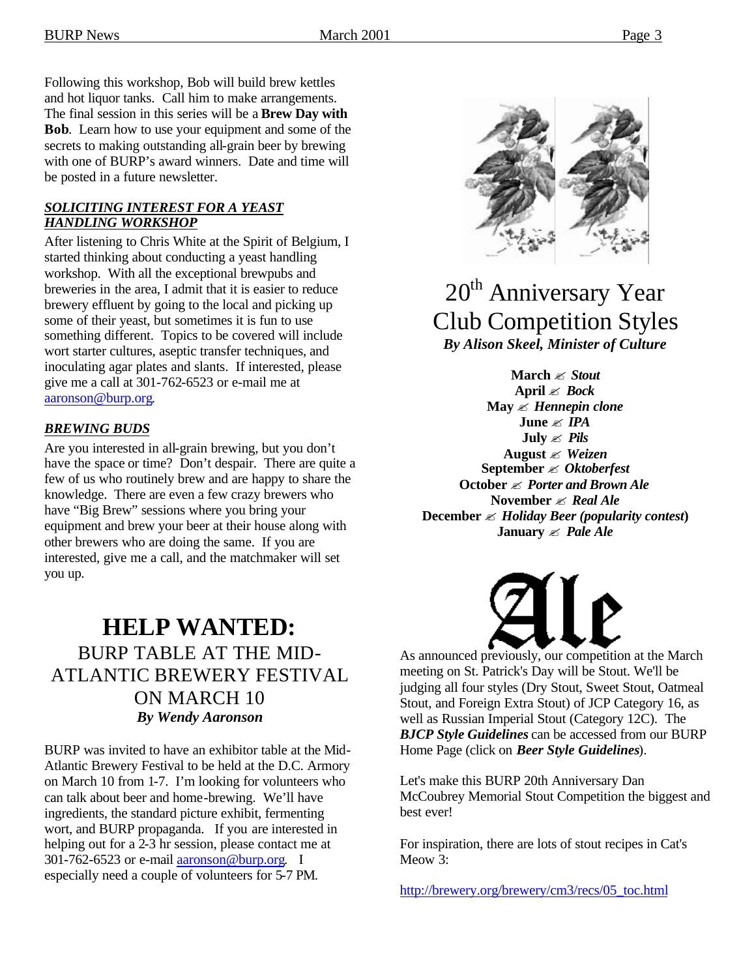Following this workshop, Bob will build brew kettles and hot liquor tanks. Call him to make arrangements. The final session in this series will be a **Brew Day with Bob**. Learn how to use your equipment and some of the secrets to making outstanding all-grain beer by brewing with one of BURP's award winners. Date and time will be posted in a future newsletter.

#### *SOLICITING INTEREST FOR A YEAST HANDLING WORKSHOP*

After listening to Chris White at the Spirit of Belgium, I started thinking about conducting a yeast handling workshop. With all the exceptional brewpubs and breweries in the area, I admit that it is easier to reduce brewery effluent by going to the local and picking up some of their yeast, but sometimes it is fun to use something different. Topics to be covered will include wort starter cultures, aseptic transfer techniques, and inoculating agar plates and slants. If interested, please give me a call at 301-762-6523 or e-mail me at aaronson@burp.org.

#### *BREWING BUDS*

Are you interested in all-grain brewing, but you don't have the space or time? Don't despair. There are quite a few of us who routinely brew and are happy to share the knowledge. There are even a few crazy brewers who have "Big Brew" sessions where you bring your equipment and brew your beer at their house along with other brewers who are doing the same. If you are interested, give me a call, and the matchmaker will set you up.

## **HELP WANTED:** BURP TABLE AT THE MID-ATLANTIC BREWERY FESTIVAL ON MARCH 10 *By Wendy Aaronson*

BURP was invited to have an exhibitor table at the Mid-Atlantic Brewery Festival to be held at the D.C. Armory on March 10 from 1-7. I'm looking for volunteers who can talk about beer and home-brewing. We'll have ingredients, the standard picture exhibit, fermenting wort, and BURP propaganda. If you are interested in helping out for a 2-3 hr session, please contact me at 301-762-6523 or e-mail aaronson@burp.org. I especially need a couple of volunteers for 5-7 PM.



## 20<sup>th</sup> Anniversary Year Club Competition Styles *By Alison Skeel, Minister of Culture*

**March** ? *Stout* **April** ? *Bock* **May** ? *Hennepin clone* **June** ? *IPA* **July** ? *Pils* **August** ? *Weizen* **September** ? *Oktoberfest* **October** ? *Porter and Brown Ale* **November** ? *Real Ale* **December** ? *Holiday Beer (popularity contest***) January**  $\mathscr{\mathscr{L}}$  *Pale Ale* 



As announced previously, our competition at the March meeting on St. Patrick's Day will be Stout. We'll be judging all four styles (Dry Stout, Sweet Stout, Oatmeal Stout, and Foreign Extra Stout) of JCP Category 16, as well as Russian Imperial Stout (Category 12C). The *BJCP Style Guidelines* can be accessed from our BURP Home Page (click on *Beer Style Guidelines*).

Let's make this BURP 20th Anniversary Dan McCoubrey Memorial Stout Competition the biggest and best ever!

For inspiration, there are lots of stout recipes in Cat's Meow 3:

http://brewery.org/brewery/cm3/recs/05\_toc.html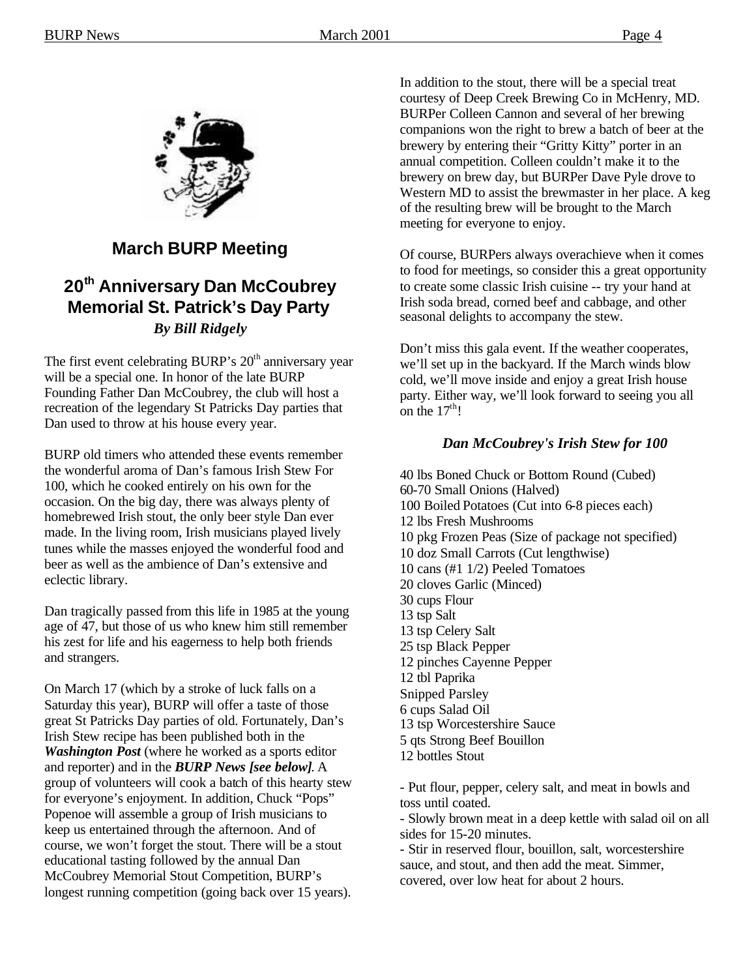

### **March BURP Meeting**

## **20th Anniversary Dan McCoubrey Memorial St. Patrick's Day Party** *By Bill Ridgely*

The first event celebrating BURP's  $20<sup>th</sup>$  anniversary year will be a special one. In honor of the late BURP Founding Father Dan McCoubrey, the club will host a recreation of the legendary St Patricks Day parties that Dan used to throw at his house every year.

BURP old timers who attended these events remember the wonderful aroma of Dan's famous Irish Stew For 100, which he cooked entirely on his own for the occasion. On the big day, there was always plenty of homebrewed Irish stout, the only beer style Dan ever made. In the living room, Irish musicians played lively tunes while the masses enjoyed the wonderful food and beer as well as the ambience of Dan's extensive and eclectic library.

Dan tragically passed from this life in 1985 at the young age of 47, but those of us who knew him still remember his zest for life and his eagerness to help both friends and strangers.

On March 17 (which by a stroke of luck falls on a Saturday this year), BURP will offer a taste of those great St Patricks Day parties of old. Fortunately, Dan's Irish Stew recipe has been published both in the *Washington Post* (where he worked as a sports editor and reporter) and in the *BURP News [see below]*. A group of volunteers will cook a batch of this hearty stew for everyone's enjoyment. In addition, Chuck "Pops" Popenoe will assemble a group of Irish musicians to keep us entertained through the afternoon. And of course, we won't forget the stout. There will be a stout educational tasting followed by the annual Dan McCoubrey Memorial Stout Competition, BURP's longest running competition (going back over 15 years).

In addition to the stout, there will be a special treat courtesy of Deep Creek Brewing Co in McHenry, MD. BURPer Colleen Cannon and several of her brewing companions won the right to brew a batch of beer at the brewery by entering their "Gritty Kitty" porter in an annual competition. Colleen couldn't make it to the brewery on brew day, but BURPer Dave Pyle drove to Western MD to assist the brewmaster in her place. A keg of the resulting brew will be brought to the March meeting for everyone to enjoy.

Of course, BURPers always overachieve when it comes to food for meetings, so consider this a great opportunity to create some classic Irish cuisine -- try your hand at Irish soda bread, corned beef and cabbage, and other seasonal delights to accompany the stew.

Don't miss this gala event. If the weather cooperates, we'll set up in the backyard. If the March winds blow cold, we'll move inside and enjoy a great Irish house party. Either way, we'll look forward to seeing you all on the  $17^{th}$ !

#### *Dan McCoubrey's Irish Stew for 100*

40 lbs Boned Chuck or Bottom Round (Cubed) 60-70 Small Onions (Halved) 100 Boiled Potatoes (Cut into 6-8 pieces each) 12 lbs Fresh Mushrooms 10 pkg Frozen Peas (Size of package not specified) 10 doz Small Carrots (Cut lengthwise) 10 cans (#1 1/2) Peeled Tomatoes 20 cloves Garlic (Minced) 30 cups Flour 13 tsp Salt 13 tsp Celery Salt 25 tsp Black Pepper 12 pinches Cayenne Pepper 12 tbl Paprika Snipped Parsley 6 cups Salad Oil 13 tsp Worcestershire Sauce 5 qts Strong Beef Bouillon 12 bottles Stout

- Put flour, pepper, celery salt, and meat in bowls and toss until coated.

- Slowly brown meat in a deep kettle with salad oil on all sides for 15-20 minutes.

- Stir in reserved flour, bouillon, salt, worcestershire sauce, and stout, and then add the meat. Simmer, covered, over low heat for about 2 hours.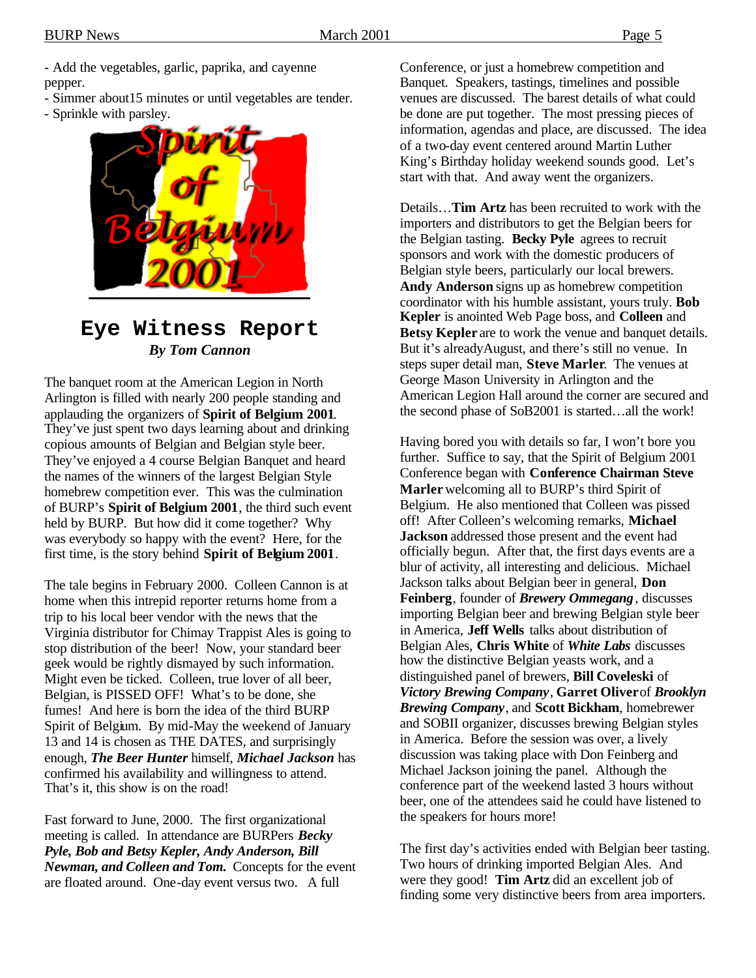- Add the vegetables, garlic, paprika, and cayenne pepper.

- Simmer about15 minutes or until vegetables are tender.
- Sprinkle with parsley.



### **Eye Witness Report** *By Tom Cannon*

The banquet room at the American Legion in North Arlington is filled with nearly 200 people standing and applauding the organizers of **Spirit of Belgium 2001**. They've just spent two days learning about and drinking copious amounts of Belgian and Belgian style beer. They've enjoyed a 4 course Belgian Banquet and heard the names of the winners of the largest Belgian Style homebrew competition ever. This was the culmination of BURP's **Spirit of Belgium 2001**, the third such event held by BURP. But how did it come together? Why was everybody so happy with the event? Here, for the first time, is the story behind **Spirit of Belgium 2001**.

The tale begins in February 2000. Colleen Cannon is at home when this intrepid reporter returns home from a trip to his local beer vendor with the news that the Virginia distributor for Chimay Trappist Ales is going to stop distribution of the beer! Now, your standard beer geek would be rightly dismayed by such information. Might even be ticked. Colleen, true lover of all beer, Belgian, is PISSED OFF! What's to be done, she fumes! And here is born the idea of the third BURP Spirit of Belgium. By mid-May the weekend of January 13 and 14 is chosen as THE DATES, and surprisingly enough, *The Beer Hunter* himself, *Michael Jackson* has confirmed his availability and willingness to attend. That's it, this show is on the road!

Fast forward to June, 2000. The first organizational meeting is called. In attendance are BURPers *Becky Pyle, Bob and Betsy Kepler, Andy Anderson, Bill Newman, and Colleen and Tom.* Concepts for the event are floated around. One-day event versus two. A full

Conference, or just a homebrew competition and Banquet. Speakers, tastings, timelines and possible venues are discussed. The barest details of what could be done are put together. The most pressing pieces of information, agendas and place, are discussed. The idea of a two-day event centered around Martin Luther King's Birthday holiday weekend sounds good. Let's start with that. And away went the organizers.

Details…**Tim Artz** has been recruited to work with the importers and distributors to get the Belgian beers for the Belgian tasting. **Becky Pyle** agrees to recruit sponsors and work with the domestic producers of Belgian style beers, particularly our local brewers. **Andy Anderson** signs up as homebrew competition coordinator with his humble assistant, yours truly. **Bob Kepler** is anointed Web Page boss, and **Colleen** and **Betsy Kepler** are to work the venue and banquet details. But it's alreadyAugust, and there's still no venue. In steps super detail man, **Steve Marler**. The venues at George Mason University in Arlington and the American Legion Hall around the corner are secured and the second phase of SoB2001 is started…all the work!

Having bored you with details so far, I won't bore you further. Suffice to say, that the Spirit of Belgium 2001 Conference began with **Conference Chairman Steve Marler** welcoming all to BURP's third Spirit of Belgium. He also mentioned that Colleen was pissed off! After Colleen's welcoming remarks, **Michael Jackson** addressed those present and the event had officially begun. After that, the first days events are a blur of activity, all interesting and delicious. Michael Jackson talks about Belgian beer in general, **Don Feinberg**, founder of *Brewery Ommegang*, discusses importing Belgian beer and brewing Belgian style beer in America, **Jeff Wells** talks about distribution of Belgian Ales, **Chris White** of *White Labs* discusses how the distinctive Belgian yeasts work, and a distinguished panel of brewers, **Bill Coveleski** of *Victory Brewing Company*, **Garret Oliver** of *Brooklyn Brewing Company*, and **Scott Bickham**, homebrewer and SOBII organizer, discusses brewing Belgian styles in America. Before the session was over, a lively discussion was taking place with Don Feinberg and Michael Jackson joining the panel. Although the conference part of the weekend lasted 3 hours without beer, one of the attendees said he could have listened to the speakers for hours more!

The first day's activities ended with Belgian beer tasting. Two hours of drinking imported Belgian Ales. And were they good! **Tim Artz** did an excellent job of finding some very distinctive beers from area importers.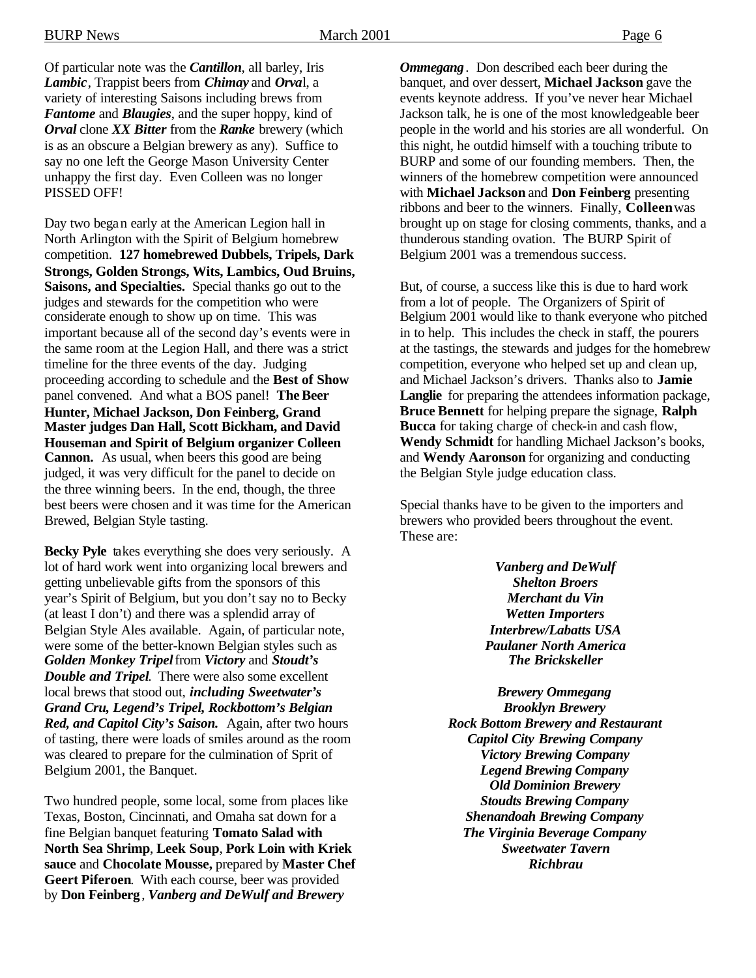Of particular note was the *Cantillon*, all barley, Iris *Lambic*, Trappist beers from *Chimay* and *Orva*l, a variety of interesting Saisons including brews from *Fantome* and *Blaugies*, and the super hoppy, kind of *Orval* clone *XX Bitter* from the *Ranke* brewery (which is as an obscure a Belgian brewery as any). Suffice to say no one left the George Mason University Center unhappy the first day. Even Colleen was no longer PISSED OFF!

Day two began early at the American Legion hall in North Arlington with the Spirit of Belgium homebrew competition. **127 homebrewed Dubbels, Tripels, Dark Strongs, Golden Strongs, Wits, Lambics, Oud Bruins, Saisons, and Specialties.** Special thanks go out to the judges and stewards for the competition who were considerate enough to show up on time. This was important because all of the second day's events were in the same room at the Legion Hall, and there was a strict timeline for the three events of the day. Judging proceeding according to schedule and the **Best of Show** panel convened. And what a BOS panel! **The Beer Hunter, Michael Jackson, Don Feinberg, Grand Master judges Dan Hall, Scott Bickham, and David Houseman and Spirit of Belgium organizer Colleen Cannon.** As usual, when beers this good are being judged, it was very difficult for the panel to decide on the three winning beers. In the end, though, the three best beers were chosen and it was time for the American Brewed, Belgian Style tasting.

**Becky Pyle** takes everything she does very seriously. A lot of hard work went into organizing local brewers and getting unbelievable gifts from the sponsors of this year's Spirit of Belgium, but you don't say no to Becky (at least I don't) and there was a splendid array of Belgian Style Ales available. Again, of particular note, were some of the better-known Belgian styles such as *Golden Monkey Tripel* from *Victory* and *Stoudt's Double and Tripel*. There were also some excellent local brews that stood out, *including Sweetwater's Grand Cru, Legend's Tripel, Rockbottom's Belgian Red, and Capitol City's Saison.* Again, after two hours of tasting, there were loads of smiles around as the room was cleared to prepare for the culmination of Sprit of Belgium 2001, the Banquet.

Two hundred people, some local, some from places like Texas, Boston, Cincinnati, and Omaha sat down for a fine Belgian banquet featuring **Tomato Salad with North Sea Shrimp**, **Leek Soup**, **Pork Loin with Kriek sauce** and **Chocolate Mousse,** prepared by **Master Chef Geert Piferoen**. With each course, beer was provided by **Don Feinberg**, *Vanberg and DeWulf and Brewery* 

*Ommegang*. Don described each beer during the banquet, and over dessert, **Michael Jackson** gave the events keynote address. If you've never hear Michael Jackson talk, he is one of the most knowledgeable beer people in the world and his stories are all wonderful. On this night, he outdid himself with a touching tribute to BURP and some of our founding members. Then, the winners of the homebrew competition were announced with **Michael Jackson** and **Don Feinberg** presenting ribbons and beer to the winners. Finally, **Colleen** was brought up on stage for closing comments, thanks, and a thunderous standing ovation. The BURP Spirit of Belgium 2001 was a tremendous success.

But, of course, a success like this is due to hard work from a lot of people. The Organizers of Spirit of Belgium 2001 would like to thank everyone who pitched in to help. This includes the check in staff, the pourers at the tastings, the stewards and judges for the homebrew competition, everyone who helped set up and clean up, and Michael Jackson's drivers. Thanks also to **Jamie Langlie** for preparing the attendees information package, **Bruce Bennett** for helping prepare the signage, **Ralph Bucca** for taking charge of check-in and cash flow, **Wendy Schmidt** for handling Michael Jackson's books, and **Wendy Aaronson** for organizing and conducting the Belgian Style judge education class.

Special thanks have to be given to the importers and brewers who provided beers throughout the event. These are:

> *Vanberg and DeWulf Shelton Broers Merchant du Vin Wetten Importers Interbrew/Labatts USA Paulaner North America The Brickskeller*

*Brewery Ommegang Brooklyn Brewery Rock Bottom Brewery and Restaurant Capitol City Brewing Company Victory Brewing Company Legend Brewing Company Old Dominion Brewery Stoudts Brewing Company Shenandoah Brewing Company The Virginia Beverage Company Sweetwater Tavern Richbrau*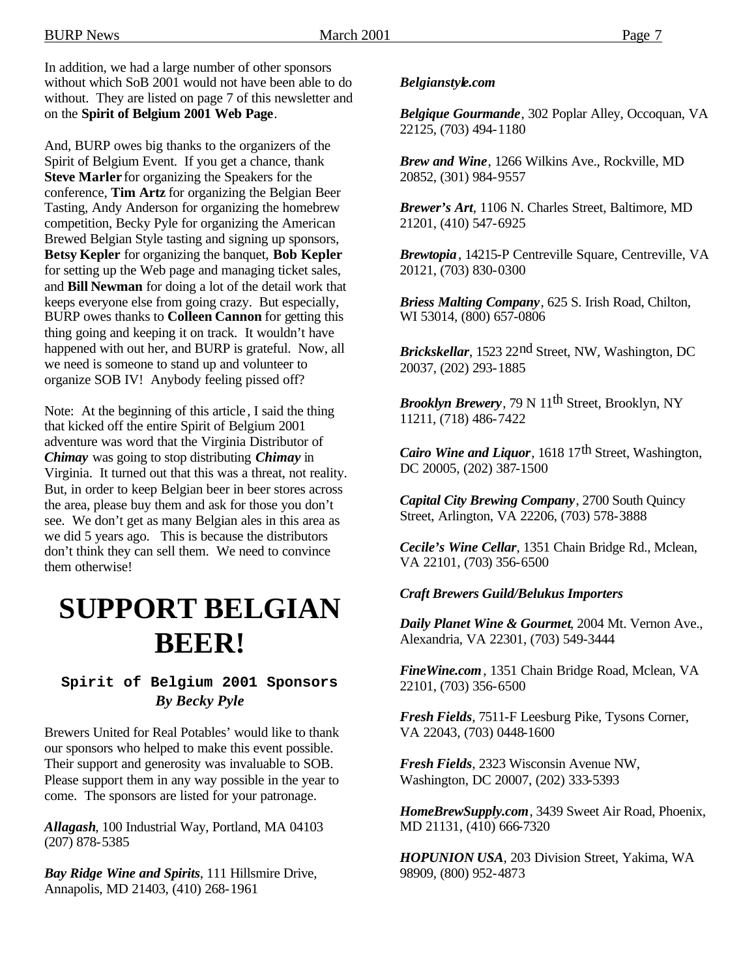In addition, we had a large number of other sponsors without which SoB 2001 would not have been able to do without. They are listed on page 7 of this newsletter and on the **Spirit of Belgium 2001 Web Page**.

And, BURP owes big thanks to the organizers of the Spirit of Belgium Event. If you get a chance, thank **Steve Marler** for organizing the Speakers for the conference, **Tim Artz** for organizing the Belgian Beer Tasting, Andy Anderson for organizing the homebrew competition, Becky Pyle for organizing the American Brewed Belgian Style tasting and signing up sponsors, **Betsy Kepler** for organizing the banquet, **Bob Kepler** for setting up the Web page and managing ticket sales, and **Bill Newman** for doing a lot of the detail work that keeps everyone else from going crazy. But especially, BURP owes thanks to **Colleen Cannon** for getting this thing going and keeping it on track. It wouldn't have happened with out her, and BURP is grateful. Now, all we need is someone to stand up and volunteer to organize SOB IV! Anybody feeling pissed off?

Note: At the beginning of this article , I said the thing that kicked off the entire Spirit of Belgium 2001 adventure was word that the Virginia Distributor of *Chimay* was going to stop distributing *Chimay* in Virginia. It turned out that this was a threat, not reality. But, in order to keep Belgian beer in beer stores across the area, please buy them and ask for those you don't see. We don't get as many Belgian ales in this area as we did 5 years ago. This is because the distributors don't think they can sell them. We need to convince them otherwise!

## **SUPPORT BELGIAN BEER!**

### **Spirit of Belgium 2001 Sponsors** *By Becky Pyle*

Brewers United for Real Potables' would like to thank our sponsors who helped to make this event possible. Their support and generosity was invaluable to SOB. Please support them in any way possible in the year to come. The sponsors are listed for your patronage.

*Allagash*, 100 Industrial Way, Portland, MA 04103 (207) 878-5385

*Bay Ridge Wine and Spirits*, 111 Hillsmire Drive, Annapolis, MD 21403, (410) 268-1961

#### *Belgianstyle.com*

*Belgique Gourmande*, 302 Poplar Alley, Occoquan, VA 22125, (703) 494-1180

*Brew and Wine*, 1266 Wilkins Ave., Rockville, MD 20852, (301) 984-9557

*Brewer's Art*, 1106 N. Charles Street, Baltimore, MD 21201, (410) 547-6925

*Brewtopia*, 14215-P Centreville Square, Centreville, VA 20121, (703) 830-0300

*Briess Malting Company*, 625 S. Irish Road, Chilton, WI 53014, (800) 657-0806

*Brickskellar*, 1523 22nd Street, NW, Washington, DC 20037, (202) 293-1885

*Brooklyn Brewery*, 79 N 11th Street, Brooklyn, NY 11211, (718) 486-7422

*Cairo Wine and Liquor*, 1618 17<sup>th</sup> Street, Washington, DC 20005, (202) 387-1500

*Capital City Brewing Company*, 2700 South Quincy Street, Arlington, VA 22206, (703) 578-3888

*Cecile's Wine Cellar*, 1351 Chain Bridge Rd., Mclean, VA 22101, (703) 356-6500

#### *Craft Brewers Guild/Belukus Importers*

*Daily Planet Wine & Gourmet*, 2004 Mt. Vernon Ave., Alexandria, VA 22301, (703) 549-3444

*FineWine.com*, 1351 Chain Bridge Road, Mclean, VA 22101, (703) 356-6500

*Fresh Fields*, 7511-F Leesburg Pike, Tysons Corner, VA 22043, (703) 0448-1600

*Fresh Fields*, 2323 Wisconsin Avenue NW, Washington, DC 20007, (202) 333-5393

*HomeBrewSupply.com*, 3439 Sweet Air Road, Phoenix, MD 21131, (410) 666-7320

*HOPUNION USA*, 203 Division Street, Yakima, WA 98909, (800) 952-4873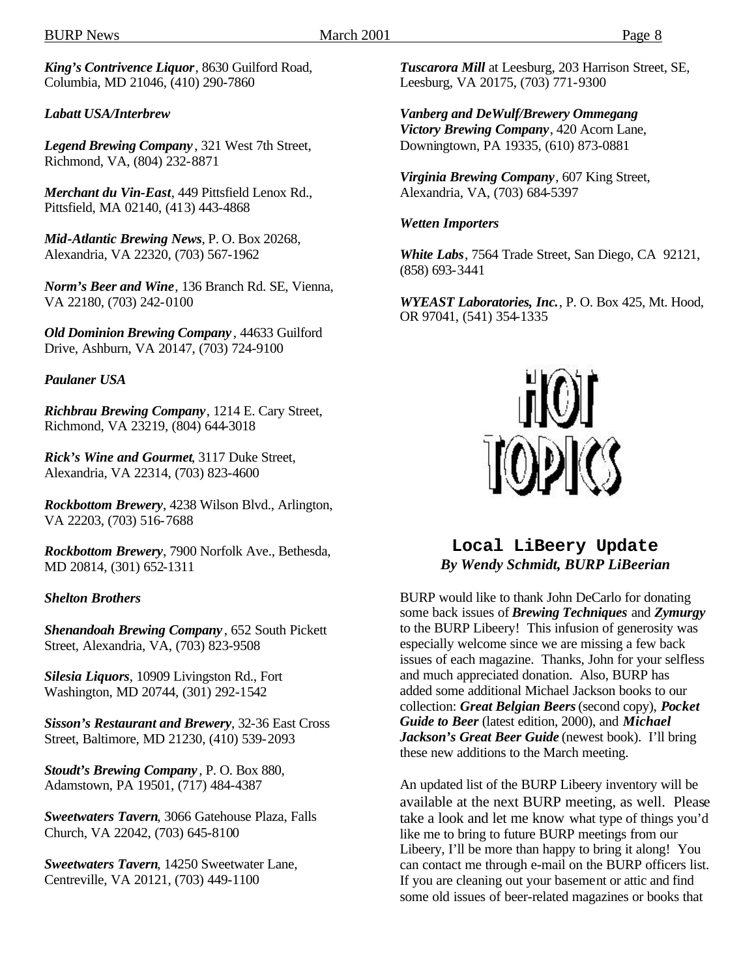*King's Contrivence Liquor*, 8630 Guilford Road, Columbia, MD 21046, (410) 290-7860

#### *Labatt USA/Interbrew*

*Legend Brewing Company* , 321 West 7th Street, Richmond, VA, (804) 232-8871

*Merchant du Vin-East*, 449 Pittsfield Lenox Rd., Pittsfield, MA 02140, (413) 443-4868

*Mid-Atlantic Brewing News*, P. O. Box 20268, Alexandria, VA 22320, (703) 567-1962

*Norm's Beer and Wine*, 136 Branch Rd. SE, Vienna, VA 22180, (703) 242-0100

*Old Dominion Brewing Company* , 44633 Guilford Drive, Ashburn, VA 20147, (703) 724-9100

*Paulaner USA*

*Richbrau Brewing Company*, 1214 E. Cary Street, Richmond, VA 23219, (804) 644-3018

*Rick's Wine and Gourmet*, 3117 Duke Street, Alexandria, VA 22314, (703) 823-4600

*Rockbottom Brewery*, 4238 Wilson Blvd., Arlington, VA 22203, (703) 516-7688

*Rockbottom Brewery*, 7900 Norfolk Ave., Bethesda, MD 20814, (301) 652-1311

#### *Shelton Brothers*

*Shenandoah Brewing Company* , 652 South Pickett Street, Alexandria, VA, (703) 823-9508

*Silesia Liquors*, 10909 Livingston Rd., Fort Washington, MD 20744, (301) 292-1542

*Sisson's Restaurant and Brewery*, 32-36 East Cross Street, Baltimore, MD 21230, (410) 539-2093

*Stoudt's Brewing Company* , P. O. Box 880, Adamstown, PA 19501, (717) 484-4387

*Sweetwaters Tavern*, 3066 Gatehouse Plaza, Falls Church, VA 22042, (703) 645-8100

*Sweetwaters Tavern*, 14250 Sweetwater Lane, Centreville, VA 20121, (703) 449-1100

*Tuscarora Mill* at Leesburg, 203 Harrison Street, SE, Leesburg, VA 20175, (703) 771-9300

*Vanberg and DeWulf/Brewery Ommegang Victory Brewing Company*, 420 Acorn Lane, Downingtown, PA 19335, (610) 873-0881

*Virginia Brewing Company*, 607 King Street, Alexandria, VA, (703) 684-5397

#### *Wetten Importers*

*White Labs*, 7564 Trade Street, San Diego, CA 92121, (858) 693-3441

*WYEAST Laboratories, Inc.*, P. O. Box 425, Mt. Hood, OR 97041, (541) 354-1335



**Local LiBeery Update** *By Wendy Schmidt, BURP LiBeerian*

BURP would like to thank John DeCarlo for donating some back issues of *Brewing Techniques* and *Zymurgy* to the BURP Libeery! This infusion of generosity was especially welcome since we are missing a few back issues of each magazine. Thanks, John for your selfless and much appreciated donation. Also, BURP has added some additional Michael Jackson books to our collection: *Great Belgian Beers* (second copy), *Pocket Guide to Beer* (latest edition, 2000), and *Michael Jackson's Great Beer Guide* (newest book). I'll bring these new additions to the March meeting.

An updated list of the BURP Libeery inventory will be available at the next BURP meeting, as well. Please take a look and let me know what type of things you'd like me to bring to future BURP meetings from our Libeery, I'll be more than happy to bring it along! You can contact me through e-mail on the BURP officers list. If you are cleaning out your basement or attic and find some old issues of beer-related magazines or books that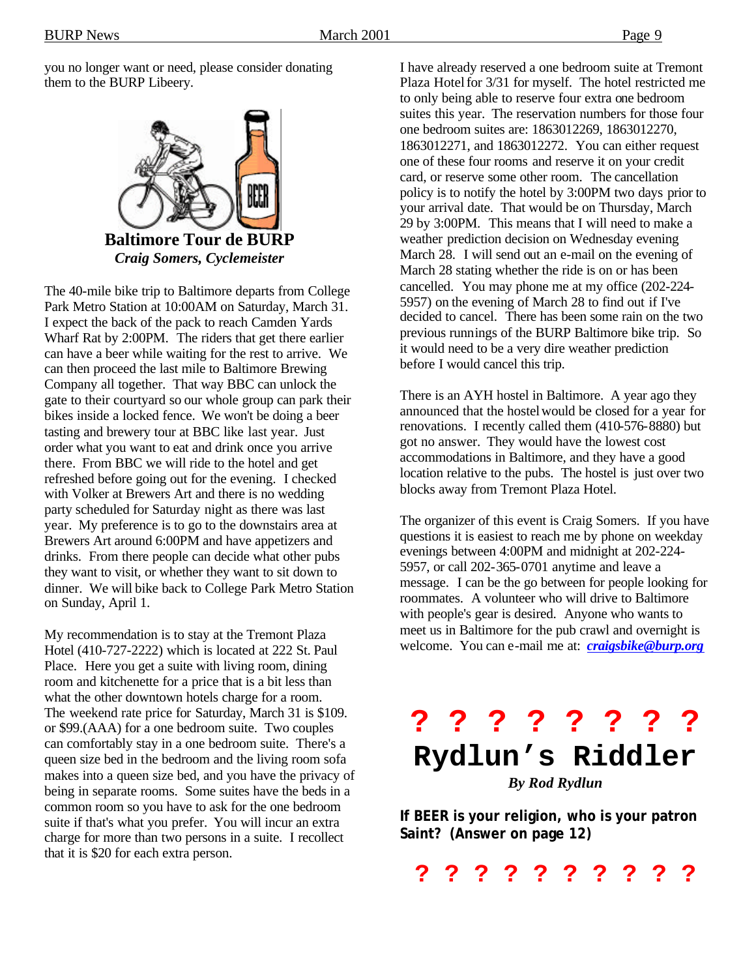you no longer want or need, please consider donating them to the BURP Libeery.



The 40-mile bike trip to Baltimore departs from College Park Metro Station at 10:00AM on Saturday, March 31. I expect the back of the pack to reach Camden Yards Wharf Rat by 2:00PM. The riders that get there earlier can have a beer while waiting for the rest to arrive. We can then proceed the last mile to Baltimore Brewing Company all together. That way BBC can unlock the gate to their courtyard so our whole group can park their bikes inside a locked fence. We won't be doing a beer tasting and brewery tour at BBC like last year. Just order what you want to eat and drink once you arrive there. From BBC we will ride to the hotel and get refreshed before going out for the evening. I checked with Volker at Brewers Art and there is no wedding party scheduled for Saturday night as there was last year. My preference is to go to the downstairs area at Brewers Art around 6:00PM and have appetizers and drinks. From there people can decide what other pubs they want to visit, or whether they want to sit down to dinner. We will bike back to College Park Metro Station on Sunday, April 1.

My recommendation is to stay at the Tremont Plaza Hotel (410-727-2222) which is located at 222 St. Paul Place. Here you get a suite with living room, dining room and kitchenette for a price that is a bit less than what the other downtown hotels charge for a room. The weekend rate price for Saturday, March 31 is \$109. or \$99.(AAA) for a one bedroom suite. Two couples can comfortably stay in a one bedroom suite. There's a queen size bed in the bedroom and the living room sofa makes into a queen size bed, and you have the privacy of being in separate rooms. Some suites have the beds in a common room so you have to ask for the one bedroom suite if that's what you prefer. You will incur an extra charge for more than two persons in a suite. I recollect that it is \$20 for each extra person.

I have already reserved a one bedroom suite at Tremont Plaza Hotel for 3/31 for myself. The hotel restricted me to only being able to reserve four extra one bedroom suites this year. The reservation numbers for those four one bedroom suites are: 1863012269, 1863012270, 1863012271, and 1863012272. You can either request one of these four rooms and reserve it on your credit card, or reserve some other room. The cancellation policy is to notify the hotel by 3:00PM two days prior to your arrival date. That would be on Thursday, March 29 by 3:00PM. This means that I will need to make a weather prediction decision on Wednesday evening March 28. I will send out an e-mail on the evening of March 28 stating whether the ride is on or has been cancelled. You may phone me at my office (202-224- 5957) on the evening of March 28 to find out if I've decided to cancel. There has been some rain on the two previous runnings of the BURP Baltimore bike trip. So it would need to be a very dire weather prediction before I would cancel this trip.

There is an AYH hostel in Baltimore. A year ago they announced that the hostelwould be closed for a year for renovations. I recently called them (410-576-8880) but got no answer. They would have the lowest cost accommodations in Baltimore, and they have a good location relative to the pubs. The hostel is just over two blocks away from Tremont Plaza Hotel.

The organizer of this event is Craig Somers. If you have questions it is easiest to reach me by phone on weekday evenings between 4:00PM and midnight at 202-224- 5957, or call 202-365-0701 anytime and leave a message. I can be the go between for people looking for roommates. A volunteer who will drive to Baltimore with people's gear is desired. Anyone who wants to meet us in Baltimore for the pub crawl and overnight is welcome. You can e-mail me at: *craigsbike@burp.org*



**If BEER is your religion, who is your patron Saint? (Answer on page 12)**

**? ? ? ? ? ? ? ? ? ?**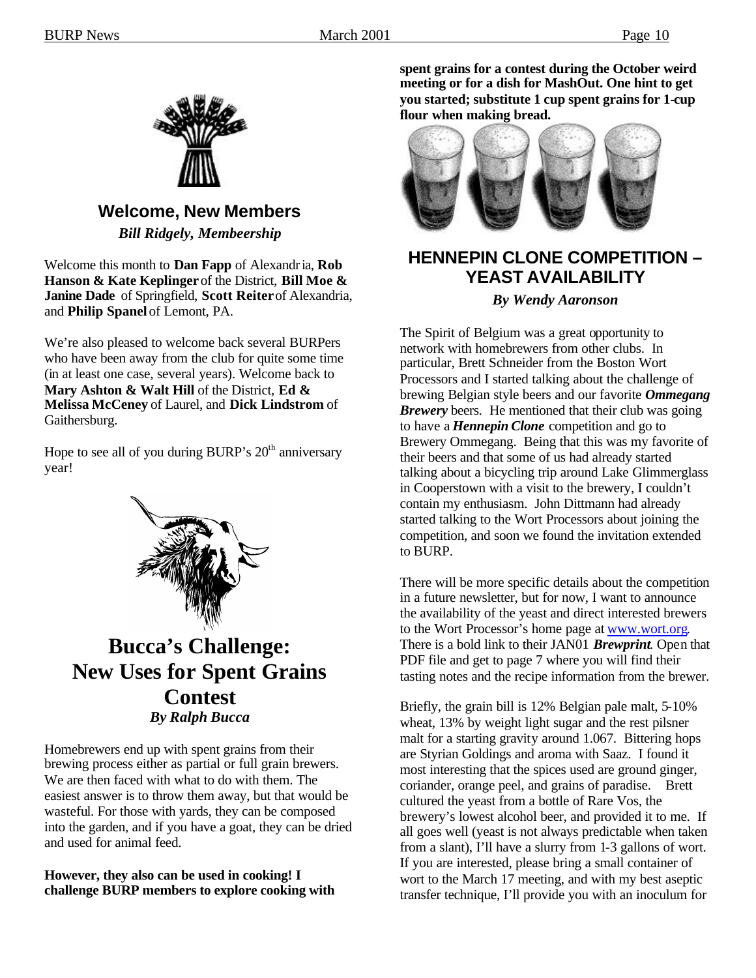

## **Welcome, New Members**

*Bill Ridgely, Membeership*

Welcome this month to **Dan Fapp** of Alexandria, **Rob Hanson & Kate Keplinger** of the District, **Bill Moe & Janine Dade** of Springfield, **Scott Reiter** of Alexandria, and **Philip Spanel** of Lemont, PA.

We're also pleased to welcome back several BURPers who have been away from the club for quite some time (in at least one case, several years). Welcome back to **Mary Ashton & Walt Hill** of the District, **Ed & Melissa McCeney** of Laurel, and **Dick Lindstrom** of Gaithersburg.

Hope to see all of you during BURP's  $20<sup>th</sup>$  anniversary year!



**Bucca's Challenge: New Uses for Spent Grains Contest** *By Ralph Bucca*

Homebrewers end up with spent grains from their brewing process either as partial or full grain brewers. We are then faced with what to do with them. The easiest answer is to throw them away, but that would be wasteful. For those with yards, they can be composed into the garden, and if you have a goat, they can be dried and used for animal feed.

#### **However, they also can be used in cooking! I challenge BURP members to explore cooking with**

**spent grains for a contest during the October weird meeting or for a dish for MashOut. One hint to get you started; substitute 1 cup spent grains for 1-cup flour when making bread.**



## **HENNEPIN CLONE COMPETITION – YEAST AVAILABILITY**

#### *By Wendy Aaronson*

The Spirit of Belgium was a great opportunity to network with homebrewers from other clubs. In particular, Brett Schneider from the Boston Wort Processors and I started talking about the challenge of brewing Belgian style beers and our favorite *Ommegang Brewery* beers. He mentioned that their club was going to have a *Hennepin Clone* competition and go to Brewery Ommegang. Being that this was my favorite of their beers and that some of us had already started talking about a bicycling trip around Lake Glimmerglass in Cooperstown with a visit to the brewery, I couldn't contain my enthusiasm. John Dittmann had already started talking to the Wort Processors about joining the competition, and soon we found the invitation extended to BURP.

There will be more specific details about the competition in a future newsletter, but for now, I want to announce the availability of the yeast and direct interested brewers to the Wort Processor's home page at www.wort.org. There is a bold link to their JAN01 *Brewprint*. Open that PDF file and get to page 7 where you will find their tasting notes and the recipe information from the brewer.

Briefly, the grain bill is 12% Belgian pale malt, 5-10% wheat, 13% by weight light sugar and the rest pilsner malt for a starting gravity around 1.067. Bittering hops are Styrian Goldings and aroma with Saaz. I found it most interesting that the spices used are ground ginger, coriander, orange peel, and grains of paradise. Brett cultured the yeast from a bottle of Rare Vos, the brewery's lowest alcohol beer, and provided it to me. If all goes well (yeast is not always predictable when taken from a slant), I'll have a slurry from 1-3 gallons of wort. If you are interested, please bring a small container of wort to the March 17 meeting, and with my best aseptic transfer technique, I'll provide you with an inoculum for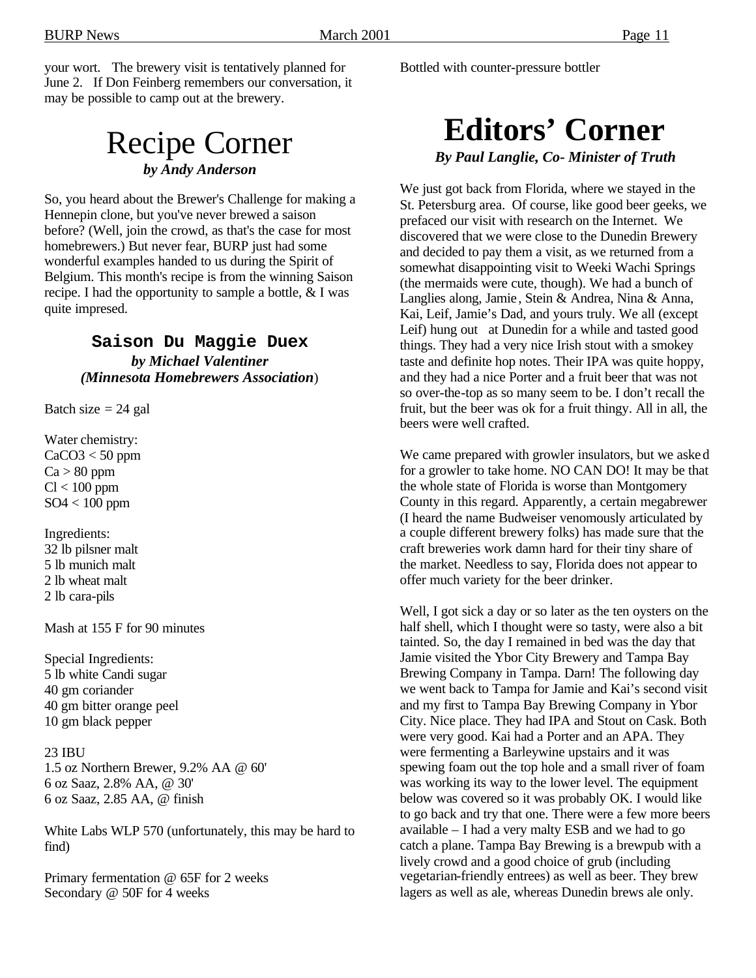your wort. The brewery visit is tentatively planned for June 2. If Don Feinberg remembers our conversation, it may be possible to camp out at the brewery.

## Recipe Corner *by Andy Anderson*

So, you heard about the Brewer's Challenge for making a Hennepin clone, but you've never brewed a saison before? (Well, join the crowd, as that's the case for most homebrewers.) But never fear, BURP just had some wonderful examples handed to us during the Spirit of Belgium. This month's recipe is from the winning Saison recipe. I had the opportunity to sample a bottle, & I was quite impresed.

#### **Saison Du Maggie Duex** *by Michael Valentiner (Minnesota Homebrewers Association*)

Batch size  $= 24$  gal

Water chemistry:  $CaCO3 < 50$  ppm  $Ca > 80$  ppm  $Cl < 100$  ppm SO4 < 100 ppm

Ingredients: 32 lb pilsner malt 5 lb munich malt 2 lb wheat malt 2 lb cara-pils

Mash at 155 F for 90 minutes

Special Ingredients: 5 lb white Candi sugar 40 gm coriander 40 gm bitter orange peel 10 gm black pepper

#### 23 IBU 1.5 oz Northern Brewer, 9.2% AA @ 60' 6 oz Saaz, 2.8% AA, @ 30' 6 oz Saaz, 2.85 AA, @ finish

White Labs WLP 570 (unfortunately, this may be hard to find)

Primary fermentation @ 65F for 2 weeks Secondary @ 50F for 4 weeks

Bottled with counter-pressure bottler

# **Editors' Corner**

*By Paul Langlie, Co- Minister of Truth*

We just got back from Florida, where we stayed in the St. Petersburg area. Of course, like good beer geeks, we prefaced our visit with research on the Internet. We discovered that we were close to the Dunedin Brewery and decided to pay them a visit, as we returned from a somewhat disappointing visit to Weeki Wachi Springs (the mermaids were cute, though). We had a bunch of Langlies along, Jamie , Stein & Andrea, Nina & Anna, Kai, Leif, Jamie's Dad, and yours truly. We all (except Leif) hung out at Dunedin for a while and tasted good things. They had a very nice Irish stout with a smokey taste and definite hop notes. Their IPA was quite hoppy, and they had a nice Porter and a fruit beer that was not so over-the-top as so many seem to be. I don't recall the fruit, but the beer was ok for a fruit thingy. All in all, the beers were well crafted.

We came prepared with growler insulators, but we asked for a growler to take home. NO CAN DO! It may be that the whole state of Florida is worse than Montgomery County in this regard. Apparently, a certain megabrewer (I heard the name Budweiser venomously articulated by a couple different brewery folks) has made sure that the craft breweries work damn hard for their tiny share of the market. Needless to say, Florida does not appear to offer much variety for the beer drinker.

Well, I got sick a day or so later as the ten oysters on the half shell, which I thought were so tasty, were also a bit tainted. So, the day I remained in bed was the day that Jamie visited the Ybor City Brewery and Tampa Bay Brewing Company in Tampa. Darn! The following day we went back to Tampa for Jamie and Kai's second visit and my first to Tampa Bay Brewing Company in Ybor City. Nice place. They had IPA and Stout on Cask. Both were very good. Kai had a Porter and an APA. They were fermenting a Barleywine upstairs and it was spewing foam out the top hole and a small river of foam was working its way to the lower level. The equipment below was covered so it was probably OK. I would like to go back and try that one. There were a few more beers available – I had a very malty ESB and we had to go catch a plane. Tampa Bay Brewing is a brewpub with a lively crowd and a good choice of grub (including vegetarian-friendly entrees) as well as beer. They brew lagers as well as ale, whereas Dunedin brews ale only.